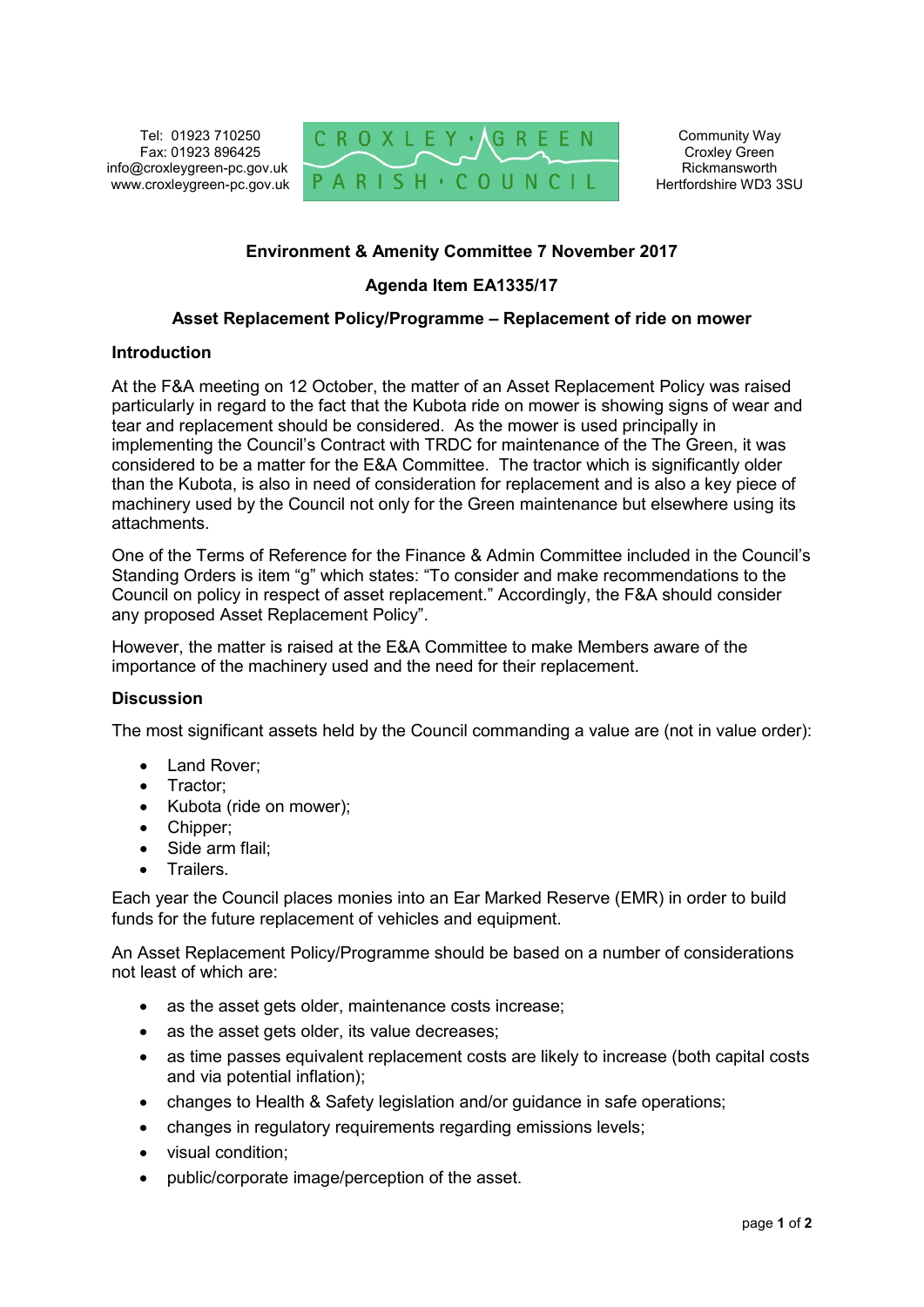Tel: 01923 710250 Fax: 01923 896425 info@croxleygreen-pc.gov.uk www.croxleygreen-pc.gov.uk



Community Way Croxley Green Rickmansworth Hertfordshire WD3 3SU

## **Environment & Amenity Committee 7 November 2017**

# **Agenda Item EA1335/17**

### **Asset Replacement Policy/Programme – Replacement of ride on mower**

#### **Introduction**

At the F&A meeting on 12 October, the matter of an Asset Replacement Policy was raised particularly in regard to the fact that the Kubota ride on mower is showing signs of wear and tear and replacement should be considered. As the mower is used principally in implementing the Council's Contract with TRDC for maintenance of the The Green, it was considered to be a matter for the E&A Committee. The tractor which is significantly older than the Kubota, is also in need of consideration for replacement and is also a key piece of machinery used by the Council not only for the Green maintenance but elsewhere using its attachments.

One of the Terms of Reference for the Finance & Admin Committee included in the Council's Standing Orders is item "g" which states: "To consider and make recommendations to the Council on policy in respect of asset replacement." Accordingly, the F&A should consider any proposed Asset Replacement Policy".

However, the matter is raised at the E&A Committee to make Members aware of the importance of the machinery used and the need for their replacement.

### **Discussion**

The most significant assets held by the Council commanding a value are (not in value order):

- Land Rover:
- Tractor;
- Kubota (ride on mower);
- Chipper;
- Side arm flail:
- Trailers.

Each year the Council places monies into an Ear Marked Reserve (EMR) in order to build funds for the future replacement of vehicles and equipment.

An Asset Replacement Policy/Programme should be based on a number of considerations not least of which are:

- as the asset gets older, maintenance costs increase;
- as the asset gets older, its value decreases;
- as time passes equivalent replacement costs are likely to increase (both capital costs and via potential inflation);
- changes to Health & Safety legislation and/or guidance in safe operations;
- changes in regulatory requirements regarding emissions levels;
- visual condition;
- public/corporate image/perception of the asset.